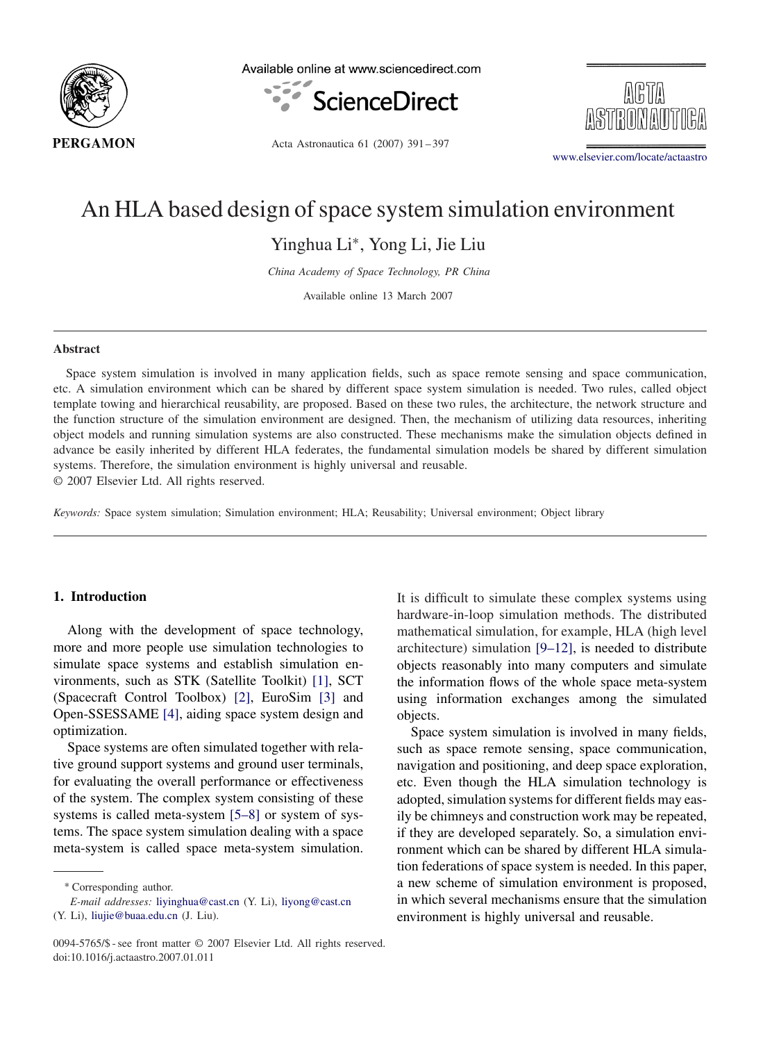

Available online at www.sciencedirect.com



ARTA

Acta Astronautica 61 (2007) 391 – 397

[www.elsevier.com/locate/actaastro](http://www.elsevier.com/locate/actaastro)

## An HLA based design of space system simulation environment

Yinghua Li∗, Yong Li, Jie Liu

*China Academy of Space Technology, PR China*

Available online 13 March 2007

#### **Abstract**

Space system simulation is involved in many application fields, such as space remote sensing and space communication, etc. A simulation environment which can be shared by different space system simulation is needed. Two rules, called object template towing and hierarchical reusability, are proposed. Based on these two rules, the architecture, the network structure and the function structure of the simulation environment are designed. Then, the mechanism of utilizing data resources, inheriting object models and running simulation systems are also constructed. These mechanisms make the simulation objects defined in advance be easily inherited by different HLA federates, the fundamental simulation models be shared by different simulation systems. Therefore, the simulation environment is highly universal and reusable.

© 2007 Elsevier Ltd. All rights reserved.

*Keywords:* Space system simulation; Simulation environment; HLA; Reusability; Universal environment; Object library

#### **1. Introduction**

Along with the development of space technology, more and more people use simulation technologies to simulate space systems and establish simulation environments, such as STK (Satellite Toolkit) [\[1\],](#page--1-0) SCT (Spacecraft Control Toolbox) [\[2\],](#page--1-0) EuroSim [\[3\]](#page--1-0) and Open-SSESSAME [\[4\],](#page--1-0) aiding space system design and optimization.

Space systems are often simulated together with relative ground support systems and ground user terminals, for evaluating the overall performance or effectiveness of the system. The complex system consisting of these systems is called meta-system [5–8] or system of systems. The space system simulation dealing with a space meta-system is called space meta-system simulation.

∗ Corresponding author.

Space system simulation is involved in many fields, such as space remote sensing, space communication, navigation and positioning, and deep space exploration, etc. Even though the HLA simulation technology is adopted, simulation systems for different fields may easily be chimneys and construction work may be repeated, if they are developed separately. So, a simulation environment which can be shared by different HLA simulation federations of space system is needed. In this paper, a new scheme of simulation environment is proposed, in which several mechanisms ensure that the simulation environment is highly universal and reusable.

*E-mail addresses:* [liyinghua@cast.cn](mailto:liyinghua@cast.cn) (Y. Li), [liyong@cast.cn](mailto:liyong@cast.cn) (Y. Li), [liujie@buaa.edu.cn](mailto:liujie@buaa.edu.cn) (J. Liu).

It is difficult to simulate these complex systems using hardware-in-loop simulation methods. The distributed mathematical simulation, for example, HLA (high level architecture) simulation [9–12], is needed to distribute objects reasonably into many computers and simulate the information flows of the whole space meta-system using information exchanges among the simulated objects.

<sup>0094-5765/\$ -</sup> see front matter © 2007 Elsevier Ltd. All rights reserved. doi:10.1016/j.actaastro.2007.01.011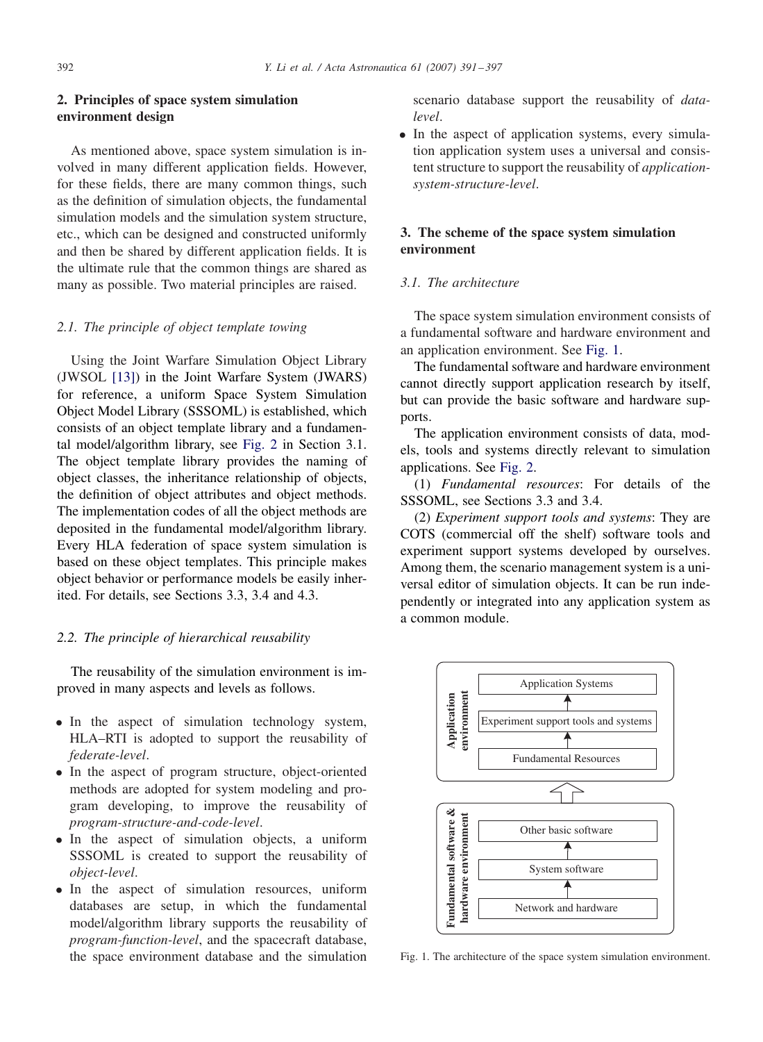## **2. Principles of space system simulation environment design**

As mentioned above, space system simulation is involved in many different application fields. However, for these fields, there are many common things, such as the definition of simulation objects, the fundamental simulation models and the simulation system structure, etc., which can be designed and constructed uniformly and then be shared by different application fields. It is the ultimate rule that the common things are shared as many as possible. Two material principles are raised.

### *2.1. The principle of object template towing*

Using the Joint Warfare Simulation Object Library (JWSOL [\[13\]\)](#page--1-0) in the Joint Warfare System (JWARS) for reference, a uniform Space System Simulation Object Model Library (SSSOML) is established, which consists of an object template library and a fundamental model/algorithm library, see [Fig. 2](#page--1-0) in Section 3.1. The object template library provides the naming of object classes, the inheritance relationship of objects, the definition of object attributes and object methods. The implementation codes of all the object methods are deposited in the fundamental model/algorithm library. Every HLA federation of space system simulation is based on these object templates. This principle makes object behavior or performance models be easily inherited. For details, see Sections 3.3, 3.4 and 4.3.

#### *2.2. The principle of hierarchical reusability*

The reusability of the simulation environment is improved in many aspects and levels as follows.

- In the aspect of simulation technology system, HLA–RTI is adopted to support the reusability of *federate-level*.
- In the aspect of program structure, object-oriented methods are adopted for system modeling and program developing, to improve the reusability of *program-structure-and-code-level*.
- In the aspect of simulation objects, a uniform SSSOML is created to support the reusability of *object-level*.
- In the aspect of simulation resources, uniform databases are setup, in which the fundamental model/algorithm library supports the reusability of *program-function-level*, and the spacecraft database, the space environment database and the simulation

scenario database support the reusability of *datalevel*.

• In the aspect of application systems, every simulation application system uses a universal and consistent structure to support the reusability of *applicationsystem-structure-level*.

## **3. The scheme of the space system simulation environment**

#### *3.1. The architecture*

The space system simulation environment consists of a fundamental software and hardware environment and an application environment. See Fig. 1.

The fundamental software and hardware environment cannot directly support application research by itself, but can provide the basic software and hardware supports.

The application environment consists of data, models, tools and systems directly relevant to simulation applications. See [Fig. 2.](#page--1-0)

(1) *Fundamental resources*: For details of the SSSOML, see Sections 3.3 and 3.4.

(2) *Experiment support tools and systems*: They are COTS (commercial off the shelf) software tools and experiment support systems developed by ourselves. Among them, the scenario management system is a universal editor of simulation objects. It can be run independently or integrated into any application system as a common module.



Fig. 1. The architecture of the space system simulation environment.